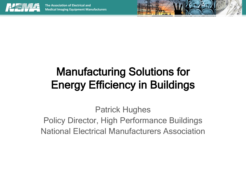



Patrick Hughes Policy Director, High Performance Buildings National Electrical Manufacturers Association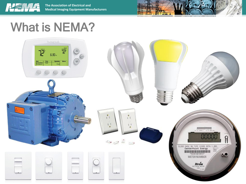

**The Association of Electrical and Medical Imaging Equipment Manufacturers** 

#### What is NEMA?

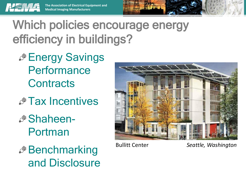

Which policies encourage energy efficiency in buildings?

- **Energy Savings Performance Contracts**
- *A* Tax Incentives
- Shaheen-Portman
- *A* Benchmarking and Disclosure



Bullitt Center *Seattle, Washington*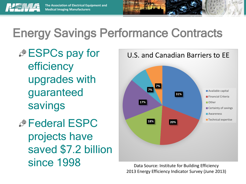

## Energy Savings Performance Contracts

- *.*<sup>*<del>∂</sup></del>ESPCs pay for</sup>* efficiency upgrades with guaranteed savings *A* Federal ESPC
	- projects have saved \$7.2 billion since 1998



Data Source: Institute for Building Efficiency 2013 Energy Efficiency Indicator Survey (June 2013)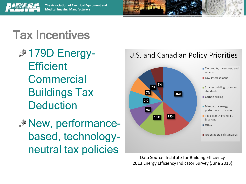

#### Tax Incentives

- $\mathscr{F}$  **179D Energy-Efficient Commercial** Buildings Tax **Deduction**
- New, performancebased, technologyneutral tax policies



Data Source: Institute for Building Efficiency 2013 Energy Efficiency Indicator Survey (June 2013)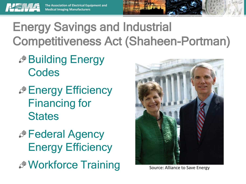

**The Association of Electrical Equipment and Medical Imaging Manufacturers**

### Energy Savings and Industrial Competitiveness Act (Shaheen-Portman)

- **<sup>
■</sup>Building Energy Codes**
- **Energy Efficiency** Financing for **States**
- *A* Federal Agency Energy Efficiency **SEAN SOLUTE: Alliance to Save Energy** Source: Alliance to Save Energy

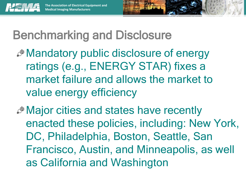

# Benchmarking and Disclosure

- Mandatory public disclosure of energy ratings (e.g., ENERGY STAR) fixes a market failure and allows the market to value energy efficiency
- **Major cities and states have recently** enacted these policies, including: New York, DC, Philadelphia, Boston, Seattle, San Francisco, Austin, and Minneapolis, as well as California and Washington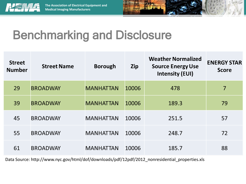



### Benchmarking and Disclosure

| <b>Street</b><br><b>Number</b> | <b>Street Name</b> | <b>Borough</b>   | <b>Zip</b> | <b>Weather Normalized</b><br><b>Source Energy Use</b><br><b>Intensity (EUI)</b> | <b>ENERGY STAR</b><br><b>Score</b> |
|--------------------------------|--------------------|------------------|------------|---------------------------------------------------------------------------------|------------------------------------|
| 29                             | <b>BROADWAY</b>    | <b>MANHATTAN</b> | 10006      | 478                                                                             | 7                                  |
| 39                             | <b>BROADWAY</b>    | <b>MANHATTAN</b> | 10006      | 189.3                                                                           | 79                                 |
| 45                             | <b>BROADWAY</b>    | <b>MANHATTAN</b> | 10006      | 251.5                                                                           | 57                                 |
| 55                             | <b>BROADWAY</b>    | <b>MANHATTAN</b> | 10006      | 248.7                                                                           | 72                                 |
| 61                             | <b>BROADWAY</b>    | <b>MANHATTAN</b> | 10006      | 185.7                                                                           | 88                                 |

Data Source: http://www.nyc.gov/html/dof/downloads/pdf/12pdf/2012\_nonresidential\_properties.xls